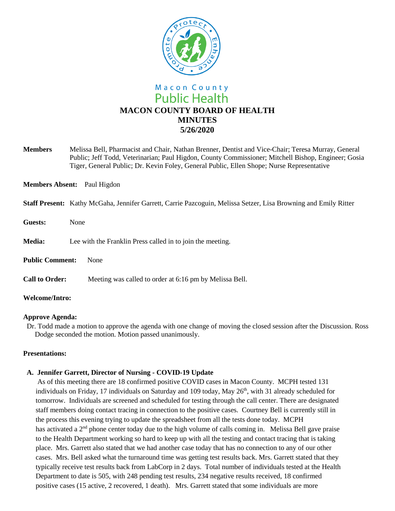

**Members** Melissa Bell, Pharmacist and Chair, Nathan Brenner, Dentist and Vice-Chair; Teresa Murray, General Public; Jeff Todd, Veterinarian; Paul Higdon, County Commissioner; Mitchell Bishop, Engineer; Gosia Tiger, General Public; Dr. Kevin Foley, General Public, Ellen Shope; Nurse Representative

**Members Absent:** Paul Higdon

#### **Staff Present:** Kathy McGaha, Jennifer Garrett, Carrie Pazcoguin, Melissa Setzer, Lisa Browning and Emily Ritter

**Guests:** None **Media:** Lee with the Franklin Press called in to join the meeting. **Public Comment:** None **Call to Order:** Meeting was called to order at 6:16 pm by Melissa Bell. **Welcome/Intro:** 

### **Approve Agenda:**

Dr. Todd made a motion to approve the agenda with one change of moving the closed session after the Discussion. Ross Dodge seconded the motion. Motion passed unanimously.

### **Presentations:**

### **A. Jennifer Garrett, Director of Nursing - COVID-19 Update**

As of this meeting there are 18 confirmed positive COVID cases in Macon County. MCPH tested 131 individuals on Friday, 17 individuals on Saturday and 109 today, May  $26<sup>th</sup>$ , with 31 already scheduled for tomorrow. Individuals are screened and scheduled for testing through the call center. There are designated staff members doing contact tracing in connection to the positive cases. Courtney Bell is currently still in the process this evening trying to update the spreadsheet from all the tests done today. MCPH has activated a 2<sup>nd</sup> phone center today due to the high volume of calls coming in. Melissa Bell gave praise to the Health Department working so hard to keep up with all the testing and contact tracing that is taking place. Mrs. Garrett also stated that we had another case today that has no connection to any of our other cases. Mrs. Bell asked what the turnaround time was getting test results back. Mrs. Garrett stated that they typically receive test results back from LabCorp in 2 days. Total number of individuals tested at the Health Department to date is 505, with 248 pending test results, 234 negative results received, 18 confirmed positive cases (15 active, 2 recovered, 1 death). Mrs. Garrett stated that some individuals are more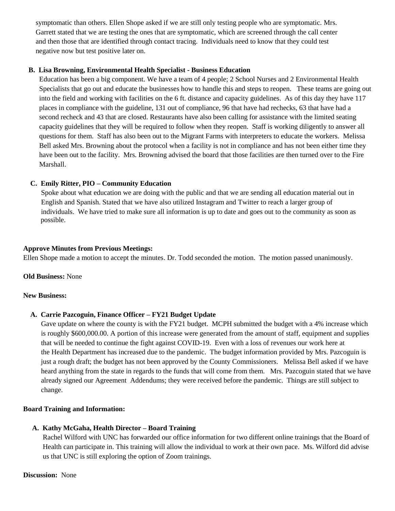symptomatic than others. Ellen Shope asked if we are still only testing people who are symptomatic. Mrs. Garrett stated that we are testing the ones that are symptomatic, which are screened through the call center and then those that are identified through contact tracing. Individuals need to know that they could test negative now but test positive later on.

### **B. Lisa Browning, Environmental Health Specialist - Business Education**

 Education has been a big component. We have a team of 4 people; 2 School Nurses and 2 Environmental Health Specialists that go out and educate the businesses how to handle this and steps to reopen. These teams are going out into the field and working with facilities on the 6 ft. distance and capacity guidelines. As of this day they have 117 places in compliance with the guideline, 131 out of compliance, 96 that have had rechecks, 63 that have had a second recheck and 43 that are closed. Restaurants have also been calling for assistance with the limited seating capacity guidelines that they will be required to follow when they reopen. Staff is working diligently to answer all questions for them. Staff has also been out to the Migrant Farms with interpreters to educate the workers. Melissa Bell asked Mrs. Browning about the protocol when a facility is not in compliance and has not been either time they have been out to the facility. Mrs. Browning advised the board that those facilities are then turned over to the Fire Marshall.

## **C. Emily Ritter, PIO – Community Education**

 Spoke about what education we are doing with the public and that we are sending all education material out in English and Spanish. Stated that we have also utilized Instagram and Twitter to reach a larger group of individuals. We have tried to make sure all information is up to date and goes out to the community as soon as possible.

### **Approve Minutes from Previous Meetings:**

Ellen Shope made a motion to accept the minutes. Dr. Todd seconded the motion. The motion passed unanimously.

### **Old Business:** None

### **New Business:**

# **A. Carrie Pazcoguin, Finance Officer – FY21 Budget Update**

Gave update on where the county is with the FY21 budget. MCPH submitted the budget with a 4% increase which is roughly \$600,000.00. A portion of this increase were generated from the amount of staff, equipment and supplies that will be needed to continue the fight against COVID-19. Even with a loss of revenues our work here at the Health Department has increased due to the pandemic. The budget information provided by Mrs. Pazcoguin is just a rough draft; the budget has not been approved by the County Commissioners. Melissa Bell asked if we have heard anything from the state in regards to the funds that will come from them. Mrs. Pazcoguin stated that we have already signed our Agreement Addendums; they were received before the pandemic. Things are still subject to change.

### **Board Training and Information:**

### **A. Kathy McGaha, Health Director – Board Training**

Rachel Wilford with UNC has forwarded our office information for two different online trainings that the Board of Health can participate in. This training will allow the individual to work at their own pace. Ms. Wilford did advise us that UNC is still exploring the option of Zoom trainings.